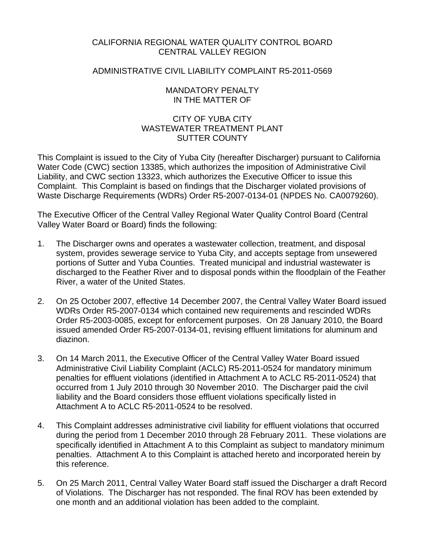# CALIFORNIA REGIONAL WATER QUALITY CONTROL BOARD CENTRAL VALLEY REGION

# ADMINISTRATIVE CIVIL LIABILITY COMPLAINT R5-2011-0569

## MANDATORY PENALTY IN THE MATTER OF

# CITY OF YUBA CITY WASTEWATER TREATMENT PI ANT SUTTER COUNTY

This Complaint is issued to the City of Yuba City (hereafter Discharger) pursuant to California Water Code (CWC) section 13385, which authorizes the imposition of Administrative Civil Liability, and CWC section 13323, which authorizes the Executive Officer to issue this Complaint. This Complaint is based on findings that the Discharger violated provisions of Waste Discharge Requirements (WDRs) Order R5-2007-0134-01 (NPDES No. CA0079260).

The Executive Officer of the Central Valley Regional Water Quality Control Board (Central Valley Water Board or Board) finds the following:

- 1. The Discharger owns and operates a wastewater collection, treatment, and disposal system, provides sewerage service to Yuba City, and accepts septage from unsewered portions of Sutter and Yuba Counties. Treated municipal and industrial wastewater is discharged to the Feather River and to disposal ponds within the floodplain of the Feather River, a water of the United States.
- 2. On 25 October 2007, effective 14 December 2007, the Central Valley Water Board issued WDRs Order R5-2007-0134 which contained new requirements and rescinded WDRs Order R5-2003-0085, except for enforcement purposes. On 28 January 2010, the Board issued amended Order R5-2007-0134-01, revising effluent limitations for aluminum and diazinon.
- 3. On 14 March 2011, the Executive Officer of the Central Valley Water Board issued Administrative Civil Liability Complaint (ACLC) R5-2011-0524 for mandatory minimum penalties for effluent violations (identified in Attachment A to ACLC R5-2011-0524) that occurred from 1 July 2010 through 30 November 2010. The Discharger paid the civil liability and the Board considers those effluent violations specifically listed in Attachment A to ACLC R5-2011-0524 to be resolved.
- 4. This Complaint addresses administrative civil liability for effluent violations that occurred during the period from 1 December 2010 through 28 February 2011. These violations are specifically identified in Attachment A to this Complaint as subject to mandatory minimum penalties. Attachment A to this Complaint is attached hereto and incorporated herein by this reference.
- 5. On 25 March 2011, Central Valley Water Board staff issued the Discharger a draft Record of Violations. The Discharger has not responded. The final ROV has been extended by one month and an additional violation has been added to the complaint.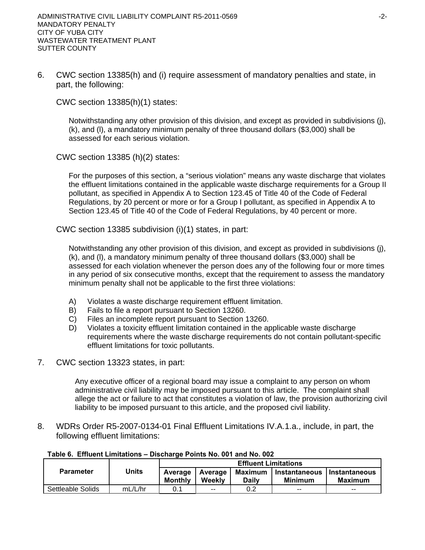6. CWC section 13385(h) and (i) require assessment of mandatory penalties and state, in part, the following:

CWC section 13385(h)(1) states:

Notwithstanding any other provision of this division, and except as provided in subdivisions (j), (k), and (l), a mandatory minimum penalty of three thousand dollars (\$3,000) shall be assessed for each serious violation.

CWC section 13385 (h)(2) states:

For the purposes of this section, a "serious violation" means any waste discharge that violates the effluent limitations contained in the applicable waste discharge requirements for a Group II pollutant, as specified in Appendix A to Section 123.45 of Title 40 of the Code of Federal Regulations, by 20 percent or more or for a Group I pollutant, as specified in Appendix A to Section 123.45 of Title 40 of the Code of Federal Regulations, by 40 percent or more.

CWC section 13385 subdivision (i)(1) states, in part:

Notwithstanding any other provision of this division, and except as provided in subdivisions (j), (k), and (l), a mandatory minimum penalty of three thousand dollars (\$3,000) shall be assessed for each violation whenever the person does any of the following four or more times in any period of six consecutive months, except that the requirement to assess the mandatory minimum penalty shall not be applicable to the first three violations:

- A) Violates a waste discharge requirement effluent limitation.
- B) Fails to file a report pursuant to Section 13260.
- C) Files an incomplete report pursuant to Section 13260.
- D) Violates a toxicity effluent limitation contained in the applicable waste discharge requirements where the waste discharge requirements do not contain pollutant-specific effluent limitations for toxic pollutants.
- 7. CWC section 13323 states, in part:

Any executive officer of a regional board may issue a complaint to any person on whom administrative civil liability may be imposed pursuant to this article. The complaint shall allege the act or failure to act that constitutes a violation of law, the provision authorizing civil liability to be imposed pursuant to this article, and the proposed civil liability.

8. WDRs Order R5-2007-0134-01 Final Effluent Limitations IV.A.1.a., include, in part, the following effluent limitations:

|                   | Units   | <b>Effluent Limitations</b> |               |         |                             |                |  |
|-------------------|---------|-----------------------------|---------------|---------|-----------------------------|----------------|--|
| <b>Parameter</b>  |         | Average<br>Average          |               | Maximum | Instantaneous Instantaneous |                |  |
|                   |         | <b>Monthly</b>              | Weekly        | Dailv   | <b>Minimum</b>              | <b>Maximum</b> |  |
| Settleable Solids | mL/L/hr | 0.1                         | $\sim$ $\sim$ | 0.2     | $ -$                        | $- -$          |  |

**Table 6. Effluent Limitations – Discharge Points No. 001 and No. 002**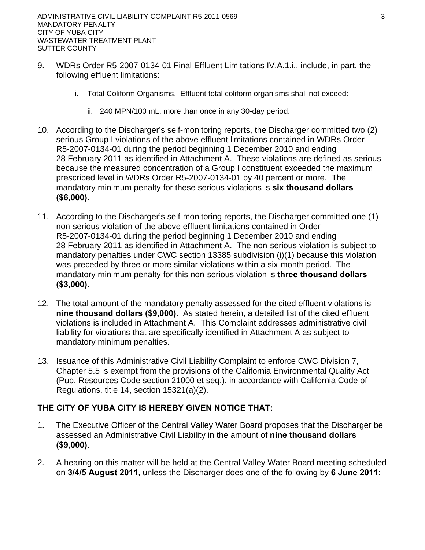- 9. WDRs Order R5-2007-0134-01 Final Effluent Limitations IV.A.1.i., include, in part, the following effluent limitations:
	- i. Total Coliform Organisms. Effluent total coliform organisms shall not exceed:
		- ii. 240 MPN/100 mL, more than once in any 30-day period.
- 10. According to the Discharger's self-monitoring reports, the Discharger committed two (2) serious Group I violations of the above effluent limitations contained in WDRs Order R5-2007-0134-01 during the period beginning 1 December 2010 and ending 28 February 2011 as identified in Attachment A. These violations are defined as serious because the measured concentration of a Group I constituent exceeded the maximum prescribed level in WDRs Order R5-2007-0134-01 by 40 percent or more. The mandatory minimum penalty for these serious violations is **six thousand dollars (\$6,000)**.
- 11. According to the Discharger's self-monitoring reports, the Discharger committed one (1) non-serious violation of the above effluent limitations contained in Order R5-2007-0134-01 during the period beginning 1 December 2010 and ending 28 February 2011 as identified in Attachment A. The non-serious violation is subject to mandatory penalties under CWC section 13385 subdivision (i)(1) because this violation was preceded by three or more similar violations within a six-month period. The mandatory minimum penalty for this non-serious violation is **three thousand dollars (\$3,000)**.
- 12. The total amount of the mandatory penalty assessed for the cited effluent violations is **nine thousand dollars (\$9,000).** As stated herein, a detailed list of the cited effluent violations is included in Attachment A. This Complaint addresses administrative civil liability for violations that are specifically identified in Attachment A as subject to mandatory minimum penalties.
- 13. Issuance of this Administrative Civil Liability Complaint to enforce CWC Division 7, Chapter 5.5 is exempt from the provisions of the California Environmental Quality Act (Pub. Resources Code section 21000 et seq.), in accordance with California Code of Regulations, title 14, section 15321(a)(2).

# **THE CITY OF YUBA CITY IS HEREBY GIVEN NOTICE THAT:**

- 1. The Executive Officer of the Central Valley Water Board proposes that the Discharger be assessed an Administrative Civil Liability in the amount of **nine thousand dollars (\$9,000)**.
- 2. A hearing on this matter will be held at the Central Valley Water Board meeting scheduled on **3/4/5 August 2011**, unless the Discharger does one of the following by **6 June 2011**: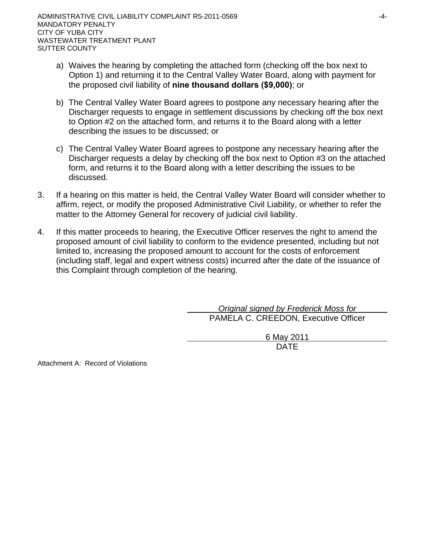- a) Waives the hearing by completing the attached form (checking off the box next to Option 1) and returning it to the Central Valley Water Board, along with payment for the proposed civil liability of **nine thousand dollars (\$9,000)**; or
- b) The Central Valley Water Board agrees to postpone any necessary hearing after the Discharger requests to engage in settlement discussions by checking off the box next to Option #2 on the attached form, and returns it to the Board along with a letter describing the issues to be discussed; or
- c) The Central Valley Water Board agrees to postpone any necessary hearing after the Discharger requests a delay by checking off the box next to Option #3 on the attached form, and returns it to the Board along with a letter describing the issues to be discussed.
- 3. If a hearing on this matter is held, the Central Valley Water Board will consider whether to affirm, reject, or modify the proposed Administrative Civil Liability, or whether to refer the matter to the Attorney General for recovery of judicial civil liability.
- 4. If this matter proceeds to hearing, the Executive Officer reserves the right to amend the proposed amount of civil liability to conform to the evidence presented, including but not limited to, increasing the proposed amount to account for the costs of enforcement (including staff, legal and expert witness costs) incurred after the date of the issuance of this Complaint through completion of the hearing.

 *Original signed by Frederick Moss for* PAMELA C. CREEDON, Executive Officer

> 6 May 2011 DATE

Attachment A: Record of Violations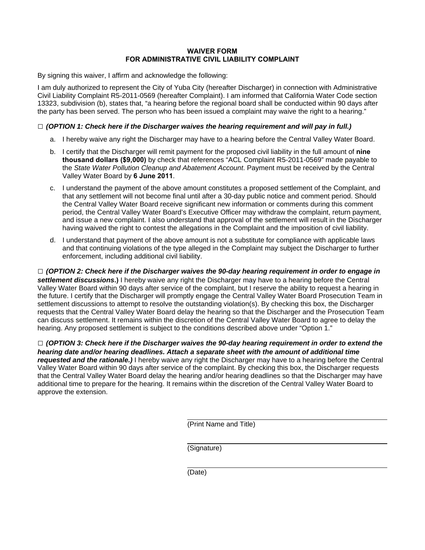## **WAIVER FORM FOR ADMINISTRATIVE CIVIL LIABILITY COMPLAINT**

By signing this waiver, I affirm and acknowledge the following:

I am duly authorized to represent the City of Yuba City (hereafter Discharger) in connection with Administrative Civil Liability Complaint R5-2011-0569 (hereafter Complaint). I am informed that California Water Code section 13323, subdivision (b), states that, "a hearing before the regional board shall be conducted within 90 days after the party has been served. The person who has been issued a complaint may waive the right to a hearing."

## **□** *(OPTION 1: Check here if the Discharger waives the hearing requirement and will pay in full.)*

- a. I hereby waive any right the Discharger may have to a hearing before the Central Valley Water Board.
- b. I certify that the Discharger will remit payment for the proposed civil liability in the full amount of **nine thousand dollars (\$9,000)** by check that references "ACL Complaint R5-2011-0569" made payable to the *State Water Pollution Cleanup and Abatement Account*. Payment must be received by the Central Valley Water Board by **6 June 2011**.
- c. I understand the payment of the above amount constitutes a proposed settlement of the Complaint, and that any settlement will not become final until after a 30-day public notice and comment period. Should the Central Valley Water Board receive significant new information or comments during this comment period, the Central Valley Water Board's Executive Officer may withdraw the complaint, return payment, and issue a new complaint. I also understand that approval of the settlement will result in the Discharger having waived the right to contest the allegations in the Complaint and the imposition of civil liability.
- d. I understand that payment of the above amount is not a substitute for compliance with applicable laws and that continuing violations of the type alleged in the Complaint may subject the Discharger to further enforcement, including additional civil liability.

**□** *(OPTION 2: Check here if the Discharger waives the 90-day hearing requirement in order to engage in settlement discussions***.)** I hereby waive any right the Discharger may have to a hearing before the Central Valley Water Board within 90 days after service of the complaint, but I reserve the ability to request a hearing in the future. I certify that the Discharger will promptly engage the Central Valley Water Board Prosecution Team in settlement discussions to attempt to resolve the outstanding violation(s). By checking this box, the Discharger requests that the Central Valley Water Board delay the hearing so that the Discharger and the Prosecution Team can discuss settlement. It remains within the discretion of the Central Valley Water Board to agree to delay the hearing. Any proposed settlement is subject to the conditions described above under "Option 1."

**□** *(OPTION 3: Check here if the Discharger waives the 90-day hearing requirement in order to extend the hearing date and/or hearing deadlines. Attach a separate sheet with the amount of additional time requested and the rationale.)* I hereby waive any right the Discharger may have to a hearing before the Central Valley Water Board within 90 days after service of the complaint. By checking this box, the Discharger requests that the Central Valley Water Board delay the hearing and/or hearing deadlines so that the Discharger may have additional time to prepare for the hearing. It remains within the discretion of the Central Valley Water Board to approve the extension.

(Print Name and Title)

(Signature)

(Date)